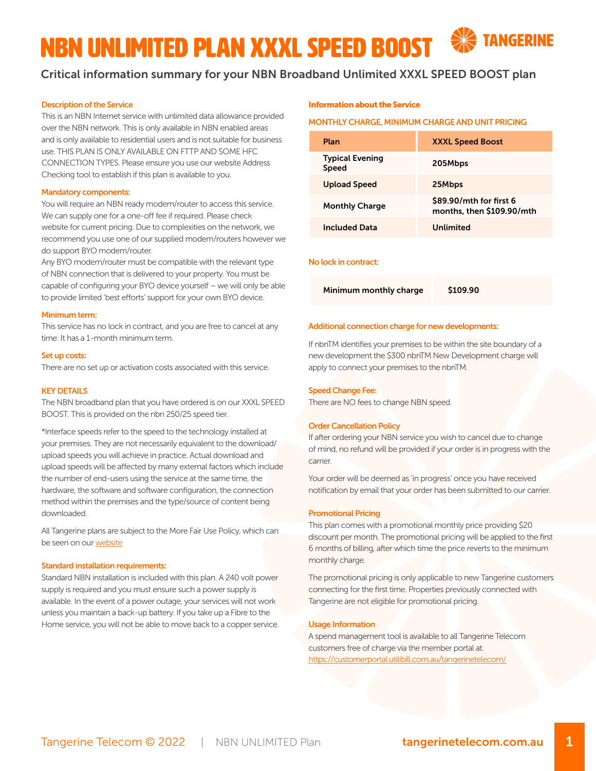# NBN UNLIMITED Plan XXXL SPEED BOOST

# Critical information summary for your NBN Broadband Unlimited XXXL SPEED BOOST plan

# Description of the Service

This is an NBN Internet service with unlimited data allowance provided over the NBN network. This is only available in NBN enabled areas and is only available to residential users and is not suitable for business use. THIS PLAN IS ONLY AVAILABLE ON FTTP AND SOME HFC CONNECTION TYPES. Please ensure you use our website Address Checking tool to establish if this plan is available to you.

#### Mandatory components:

You will require an NBN ready modem/router to access this service. We can supply one for a one-off fee if required. Please check website for current pricing. Due to complexities on the network, we recommend you use one of our supplied modem/routers however we do support BYO modem/router.

Any BYO modem/router must be compatible with the relevant type of NBN connection that is delivered to your property. You must be capable of configuring your BYO device yourself – we will only be able to provide limited 'best efforts' support for your own BYO device.

## Minimum term:

This service has no lock in contract, and you are free to cancel at any time. It has a 1-month minimum term.

#### Set up costs:

There are no set up or activation costs associated with this service.

#### KEY DETAILS

The NBN broadband plan that you have ordered is on our XXXL SPEED BOOST. This is provided on the nbn 250/25 speed tier.

\*Interface speeds refer to the speed to the technology installed at your premises. They are not necessarily equivalent to the download/ upload speeds you will achieve in practice. Actual download and upload speeds will be affected by many external factors which include the number of end-users using the service at the same time, the hardware, the software and software configuration, the connection method within the premises and the type/source of content being downloaded.

All Tangerine plans are subject to the More Fair Use Policy, which can be seen on our [website](https://www.tangerinetelecom.com.au/policies)

# Standard installation requirements:

Standard NBN installation is included with this plan. A 240 volt power supply is required and you must ensure such a power supply is available. In the event of a power outage, your services will not work unless you maintain a back-up battery. If you take up a Fibre to the Home service, you will not be able to move back to a copper service.

## Information about the Service

#### MONTHLY CHARGE, MINIMUM CHARGE AND UNIT PRICING

| Plan                                   | <b>XXXL Speed Boost</b>                              |
|----------------------------------------|------------------------------------------------------|
| <b>Typical Evening</b><br><b>Speed</b> | 205Mbps                                              |
| Upload Speed                           | 25Mbps                                               |
| <b>Monthly Charge</b>                  | \$89.90/mth for first 6<br>months, then \$109.90/mth |
| <b>Included Data</b>                   | Unlimited                                            |

# No lock in contract:

Minimum monthly charge \$109.90

#### Additional connection charge for new developments:

If nbnTM identifies your premises to be within the site boundary of a new development the \$300 nbnTM New Development charge will apply to connect your premises to the nbnTM.

# Speed Change Fee:

There are NO fees to change NBN speed.

## Order Cancellation Policy

If after ordering your NBN service you wish to cancel due to change of mind, no refund will be provided if your order is in progress with the carrier.

Your order will be deemed as 'in progress' once you have received notification by email that your order has been submitted to our carrier.

## Promotional Pricing

This plan comes with a promotional monthly price providing \$20 discount per month. The promotional pricing will be applied to the first 6 months of billing, after which time the price reverts to the minimum monthly charge.

The promotional pricing is only applicable to new Tangerine customers connecting for the first time. Properties previously connected with Tangerine are not eligible for promotional pricing.

#### Usage Information

A spend management tool is available to all Tangerine Telecom customers free of charge via the member portal at: [https://customerportal.utilibill.com.au/tangerinetelecom/](https://customerportal.utilibill.com.au/tangerinetelecom/ )